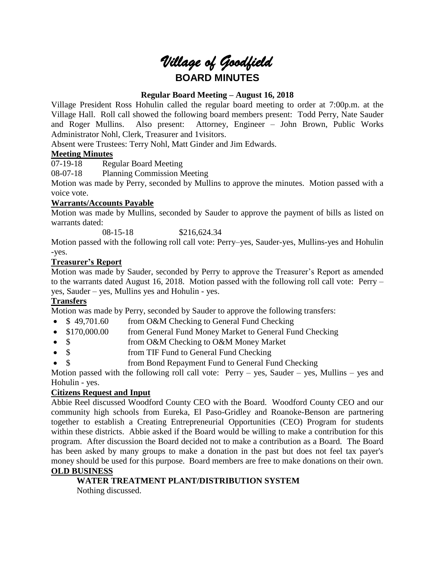# *Village of Goodfield* **BOARD MINUTES**

# **Regular Board Meeting – August 16, 2018**

Village President Ross Hohulin called the regular board meeting to order at 7:00p.m. at the Village Hall. Roll call showed the following board members present: Todd Perry, Nate Sauder and Roger Mullins. Also present: Attorney, Engineer – John Brown, Public Works Administrator Nohl, Clerk, Treasurer and 1visitors.

Absent were Trustees: Terry Nohl, Matt Ginder and Jim Edwards.

## **Meeting Minutes**

07-19-18 Regular Board Meeting

08-07-18 Planning Commission Meeting

Motion was made by Perry, seconded by Mullins to approve the minutes. Motion passed with a voice vote.

## **Warrants/Accounts Payable**

Motion was made by Mullins, seconded by Sauder to approve the payment of bills as listed on warrants dated:

08-15-18 \$216,624.34

Motion passed with the following roll call vote: Perry–yes, Sauder-yes, Mullins-yes and Hohulin -yes.

## **Treasurer's Report**

Motion was made by Sauder, seconded by Perry to approve the Treasurer's Report as amended to the warrants dated August 16, 2018. Motion passed with the following roll call vote: Perry – yes, Sauder – yes, Mullins yes and Hohulin - yes.

# **Transfers**

Motion was made by Perry, seconded by Sauder to approve the following transfers:

- \$49,701.60 from O&M Checking to General Fund Checking
- \$170,000.00 from General Fund Money Market to General Fund Checking
- \$ from O&M Checking to O&M Money Market
- \$ from TIF Fund to General Fund Checking
- \$ from Bond Repayment Fund to General Fund Checking

Motion passed with the following roll call vote:  $Perry - yes$ , Sauder – yes, Mullins – yes and Hohulin - yes.

# **Citizens Request and Input**

Abbie Reel discussed Woodford County CEO with the Board. Woodford County CEO and our community high schools from Eureka, El Paso-Gridley and Roanoke-Benson are partnering together to establish a Creating Entrepreneurial Opportunities (CEO) Program for students within these districts. Abbie asked if the Board would be willing to make a contribution for this program. After discussion the Board decided not to make a contribution as a Board. The Board has been asked by many groups to make a donation in the past but does not feel tax payer's money should be used for this purpose. Board members are free to make donations on their own. **OLD BUSINESS**

# **WATER TREATMENT PLANT/DISTRIBUTION SYSTEM**

Nothing discussed.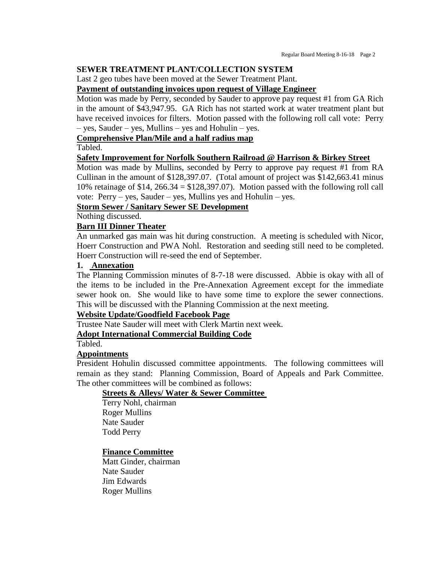#### **SEWER TREATMENT PLANT/COLLECTION SYSTEM**

Last 2 geo tubes have been moved at the Sewer Treatment Plant.

#### **Payment of outstanding invoices upon request of Village Engineer**

Motion was made by Perry, seconded by Sauder to approve pay request #1 from GA Rich in the amount of \$43,947.95. GA Rich has not started work at water treatment plant but have received invoices for filters. Motion passed with the following roll call vote: Perry – yes, Sauder – yes, Mullins – yes and Hohulin – yes.

#### **Comprehensive Plan/Mile and a half radius map**

Tabled.

#### **Safety Improvement for Norfolk Southern Railroad @ Harrison & Birkey Street**

Motion was made by Mullins, seconded by Perry to approve pay request #1 from RA Cullinan in the amount of \$128,397.07. (Total amount of project was \$142,663.41 minus 10% retainage of \$14, 266.34 = \$128,397.07). Motion passed with the following roll call vote: Perry – yes, Sauder – yes, Mullins yes and Hohulin – yes.

#### **Storm Sewer / Sanitary Sewer SE Development**

Nothing discussed.

#### **Barn III Dinner Theater**

An unmarked gas main was hit during construction. A meeting is scheduled with Nicor, Hoerr Construction and PWA Nohl. Restoration and seeding still need to be completed. Hoerr Construction will re-seed the end of September.

#### **1. Annexation**

The Planning Commission minutes of 8-7-18 were discussed. Abbie is okay with all of the items to be included in the Pre-Annexation Agreement except for the immediate sewer hook on. She would like to have some time to explore the sewer connections. This will be discussed with the Planning Commission at the next meeting.

#### **Website Update/Goodfield Facebook Page**

Trustee Nate Sauder will meet with Clerk Martin next week.

# **Adopt International Commercial Building Code**

Tabled.

#### **Appointments**

President Hohulin discussed committee appointments. The following committees will remain as they stand: Planning Commission, Board of Appeals and Park Committee. The other committees will be combined as follows:

#### **Streets & Alleys/ Water & Sewer Committee**

Terry Nohl, chairman Roger Mullins Nate Sauder Todd Perry

#### **Finance Committee**

Matt Ginder, chairman Nate Sauder Jim Edwards Roger Mullins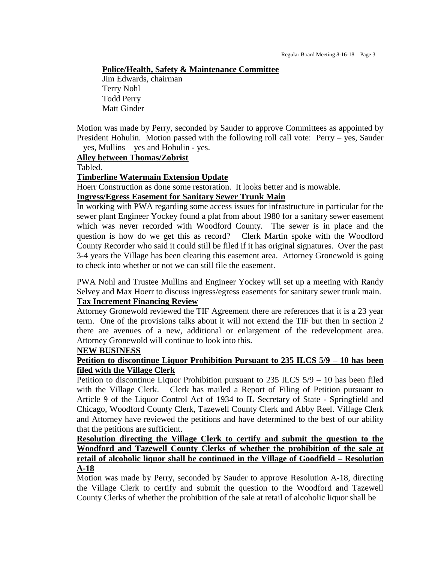#### **Police/Health, Safety & Maintenance Committee**

Jim Edwards, chairman Terry Nohl Todd Perry Matt Ginder

Motion was made by Perry, seconded by Sauder to approve Committees as appointed by President Hohulin. Motion passed with the following roll call vote: Perry – yes, Sauder – yes, Mullins – yes and Hohulin - yes.

#### **Alley between Thomas/Zobrist**

Tabled.

#### **Timberline Watermain Extension Update**

Hoerr Construction as done some restoration. It looks better and is mowable.

# **Ingress/Egress Easement for Sanitary Sewer Trunk Main**

In working with PWA regarding some access issues for infrastructure in particular for the sewer plant Engineer Yockey found a plat from about 1980 for a sanitary sewer easement which was never recorded with Woodford County. The sewer is in place and the question is how do we get this as record? Clerk Martin spoke with the Woodford County Recorder who said it could still be filed if it has original signatures. Over the past 3-4 years the Village has been clearing this easement area. Attorney Gronewold is going to check into whether or not we can still file the easement.

PWA Nohl and Trustee Mullins and Engineer Yockey will set up a meeting with Randy Selvey and Max Hoerr to discuss ingress/egress easements for sanitary sewer trunk main.

# **Tax Increment Financing Review**

Attorney Gronewold reviewed the TIF Agreement there are references that it is a 23 year term. One of the provisions talks about it will not extend the TIF but then in section 2 there are avenues of a new, additional or enlargement of the redevelopment area. Attorney Gronewold will continue to look into this.

#### **NEW BUSINESS**

## **Petition to discontinue Liquor Prohibition Pursuant to 235 ILCS 5/9 – 10 has been filed with the Village Clerk**

Petition to discontinue Liquor Prohibition pursuant to 235 ILCS 5/9 – 10 has been filed with the Village Clerk. Clerk has mailed a Report of Filing of Petition pursuant to Article 9 of the Liquor Control Act of 1934 to IL Secretary of State - Springfield and Chicago, Woodford County Clerk, Tazewell County Clerk and Abby Reel. Village Clerk and Attorney have reviewed the petitions and have determined to the best of our ability that the petitions are sufficient.

**Resolution directing the Village Clerk to certify and submit the question to the Woodford and Tazewell County Clerks of whether the prohibition of the sale at retail of alcoholic liquor shall be continued in the Village of Goodfield – Resolution A-18**

Motion was made by Perry, seconded by Sauder to approve Resolution A-18, directing the Village Clerk to certify and submit the question to the Woodford and Tazewell County Clerks of whether the prohibition of the sale at retail of alcoholic liquor shall be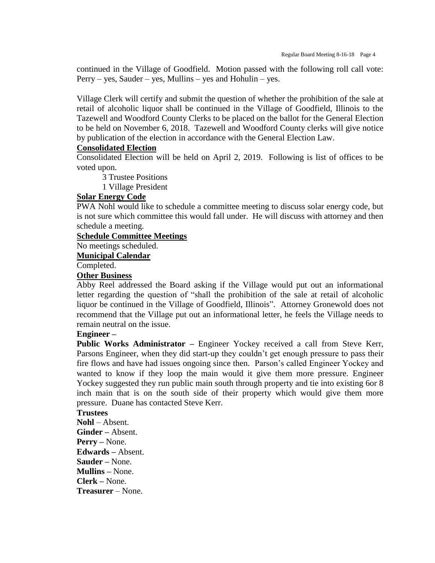continued in the Village of Goodfield. Motion passed with the following roll call vote:  $Perry - yes$ , Sauder – yes, Mullins – yes and Hohulin – yes.

Village Clerk will certify and submit the question of whether the prohibition of the sale at retail of alcoholic liquor shall be continued in the Village of Goodfield, Illinois to the Tazewell and Woodford County Clerks to be placed on the ballot for the General Election to be held on November 6, 2018. Tazewell and Woodford County clerks will give notice by publication of the election in accordance with the General Election Law.

#### **Consolidated Election**

Consolidated Election will be held on April 2, 2019. Following is list of offices to be voted upon.

3 Trustee Positions

1 Village President

# **Solar Energy Code**

PWA Nohl would like to schedule a committee meeting to discuss solar energy code, but is not sure which committee this would fall under. He will discuss with attorney and then schedule a meeting.

# **Schedule Committee Meetings**

No meetings scheduled.

#### **Municipal Calendar**

Completed.

# **Other Business**

Abby Reel addressed the Board asking if the Village would put out an informational letter regarding the question of "shall the prohibition of the sale at retail of alcoholic liquor be continued in the Village of Goodfield, Illinois". Attorney Gronewold does not recommend that the Village put out an informational letter, he feels the Village needs to remain neutral on the issue.

#### **Engineer –**

**Public Works Administrator –** Engineer Yockey received a call from Steve Kerr, Parsons Engineer, when they did start-up they couldn't get enough pressure to pass their fire flows and have had issues ongoing since then. Parson's called Engineer Yockey and wanted to know if they loop the main would it give them more pressure. Engineer Yockey suggested they run public main south through property and tie into existing 6or 8 inch main that is on the south side of their property which would give them more pressure. Duane has contacted Steve Kerr.

# **Trustees**

**Nohl** – Absent. **Ginder –** Absent. **Perry –** None. **Edwards –** Absent. **Sauder –** None. **Mullins –** None. **Clerk –** None. **Treasurer** – None.